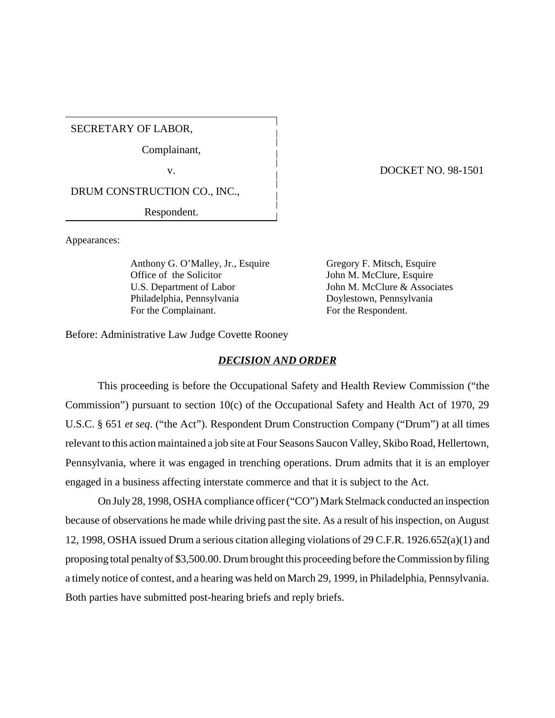SECRETARY OF LABOR,

Complainant,

DRUM CONSTRUCTION CO., INC.,

Respondent.

Appearances:

Anthony G. O'Malley, Jr., Esquire Gregory F. Mitsch, Esquire Office of the Solicitor John M. McClure, Esquire U.S. Department of Labor John M. McClure & Associates Philadelphia, Pennsylvania Doylestown, Pennsylvania For the Complainant. For the Respondent.

Before: Administrative Law Judge Covette Rooney

## *DECISION AND ORDER*

This proceeding is before the Occupational Safety and Health Review Commission ("the Commission") pursuant to section 10(c) of the Occupational Safety and Health Act of 1970, 29 U.S.C. § 651 *et seq*. ("the Act"). Respondent Drum Construction Company ("Drum") at all times relevant to this action maintained a job site at Four Seasons Saucon Valley, Skibo Road, Hellertown, Pennsylvania, where it was engaged in trenching operations. Drum admits that it is an employer engaged in a business affecting interstate commerce and that it is subject to the Act.

On July 28, 1998, OSHA compliance officer ("CO") Mark Stelmack conducted an inspection because of observations he made while driving past the site. As a result of his inspection, on August 12, 1998, OSHA issued Drum a serious citation alleging violations of 29 C.F.R. 1926.652(a)(1) and proposing total penalty of \$3,500.00. Drum brought this proceeding before the Commission by filing a timely notice of contest, and a hearing was held on March 29, 1999, in Philadelphia, Pennsylvania. Both parties have submitted post-hearing briefs and reply briefs.

v. DOCKET NO. 98-1501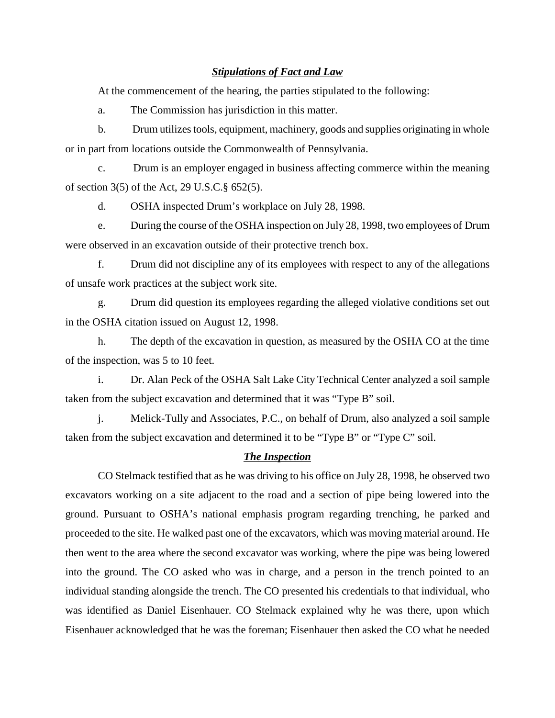## *Stipulations of Fact and Law*

At the commencement of the hearing, the parties stipulated to the following:

a. The Commission has jurisdiction in this matter.

b. Drum utilizes tools, equipment, machinery, goods and supplies originating in whole or in part from locations outside the Commonwealth of Pennsylvania.

c. Drum is an employer engaged in business affecting commerce within the meaning of section 3(5) of the Act, 29 U.S.C.§ 652(5).

d. OSHA inspected Drum's workplace on July 28, 1998.

e. During the course of the OSHA inspection on July 28, 1998, two employees of Drum were observed in an excavation outside of their protective trench box.

f. Drum did not discipline any of its employees with respect to any of the allegations of unsafe work practices at the subject work site.

g. Drum did question its employees regarding the alleged violative conditions set out in the OSHA citation issued on August 12, 1998.

h. The depth of the excavation in question, as measured by the OSHA CO at the time of the inspection, was 5 to 10 feet.

i. Dr. Alan Peck of the OSHA Salt Lake City Technical Center analyzed a soil sample taken from the subject excavation and determined that it was "Type B" soil.

j. Melick-Tully and Associates, P.C., on behalf of Drum, also analyzed a soil sample taken from the subject excavation and determined it to be "Type B" or "Type C" soil.

## *The Inspection*

CO Stelmack testified that as he was driving to his office on July 28, 1998, he observed two excavators working on a site adjacent to the road and a section of pipe being lowered into the ground. Pursuant to OSHA's national emphasis program regarding trenching, he parked and proceeded to the site. He walked past one of the excavators, which was moving material around. He then went to the area where the second excavator was working, where the pipe was being lowered into the ground. The CO asked who was in charge, and a person in the trench pointed to an individual standing alongside the trench. The CO presented his credentials to that individual, who was identified as Daniel Eisenhauer. CO Stelmack explained why he was there, upon which Eisenhauer acknowledged that he was the foreman; Eisenhauer then asked the CO what he needed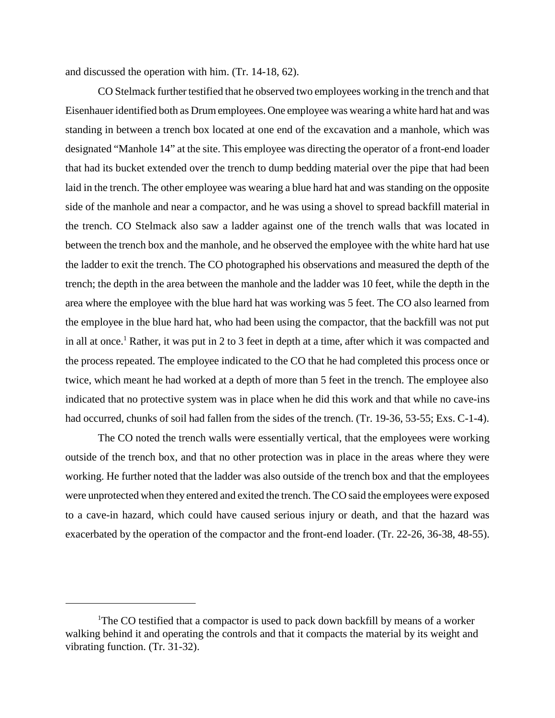and discussed the operation with him. (Tr. 14-18, 62).

CO Stelmack further testified that he observed two employees working in the trench and that Eisenhauer identified both as Drum employees. One employee was wearing a white hard hat and was standing in between a trench box located at one end of the excavation and a manhole, which was designated "Manhole 14" at the site. This employee was directing the operator of a front-end loader that had its bucket extended over the trench to dump bedding material over the pipe that had been laid in the trench. The other employee was wearing a blue hard hat and was standing on the opposite side of the manhole and near a compactor, and he was using a shovel to spread backfill material in the trench. CO Stelmack also saw a ladder against one of the trench walls that was located in between the trench box and the manhole, and he observed the employee with the white hard hat use the ladder to exit the trench. The CO photographed his observations and measured the depth of the trench; the depth in the area between the manhole and the ladder was 10 feet, while the depth in the area where the employee with the blue hard hat was working was 5 feet. The CO also learned from the employee in the blue hard hat, who had been using the compactor, that the backfill was not put in all at once.<sup>1</sup> Rather, it was put in 2 to 3 feet in depth at a time, after which it was compacted and the process repeated. The employee indicated to the CO that he had completed this process once or twice, which meant he had worked at a depth of more than 5 feet in the trench. The employee also indicated that no protective system was in place when he did this work and that while no cave-ins had occurred, chunks of soil had fallen from the sides of the trench. (Tr. 19-36, 53-55; Exs. C-1-4).

The CO noted the trench walls were essentially vertical, that the employees were working outside of the trench box, and that no other protection was in place in the areas where they were working. He further noted that the ladder was also outside of the trench box and that the employees were unprotected when they entered and exited the trench. The CO said the employees were exposed to a cave-in hazard, which could have caused serious injury or death, and that the hazard was exacerbated by the operation of the compactor and the front-end loader. (Tr. 22-26, 36-38, 48-55).

<sup>&</sup>lt;sup>1</sup>The CO testified that a compactor is used to pack down backfill by means of a worker walking behind it and operating the controls and that it compacts the material by its weight and vibrating function. (Tr. 31-32).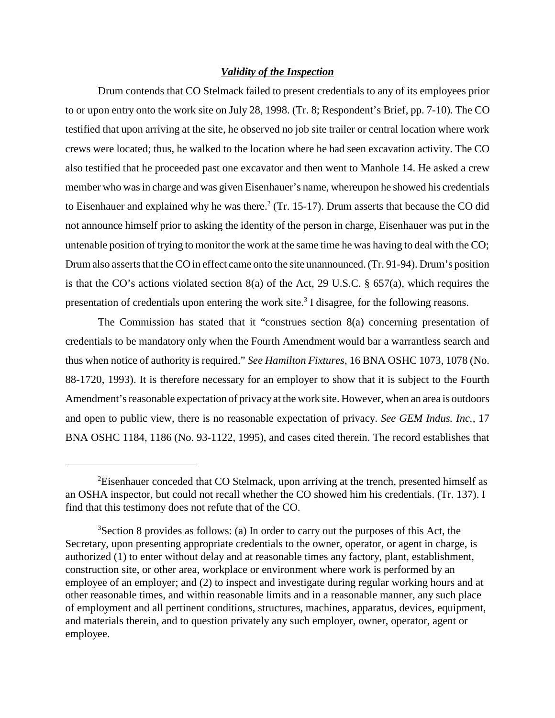### *Validity of the Inspection*

Drum contends that CO Stelmack failed to present credentials to any of its employees prior to or upon entry onto the work site on July 28, 1998. (Tr. 8; Respondent's Brief, pp. 7-10). The CO testified that upon arriving at the site, he observed no job site trailer or central location where work crews were located; thus, he walked to the location where he had seen excavation activity. The CO also testified that he proceeded past one excavator and then went to Manhole 14. He asked a crew member who was in charge and was given Eisenhauer's name, whereupon he showed his credentials to Eisenhauer and explained why he was there. $2$  (Tr. 15-17). Drum asserts that because the CO did not announce himself prior to asking the identity of the person in charge, Eisenhauer was put in the untenable position of trying to monitor the work at the same time he was having to deal with the CO; Drum also asserts that the CO in effect came onto the site unannounced. (Tr. 91-94). Drum's position is that the CO's actions violated section 8(a) of the Act, 29 U.S.C. § 657(a), which requires the presentation of credentials upon entering the work site.<sup>3</sup> I disagree, for the following reasons.

The Commission has stated that it "construes section 8(a) concerning presentation of credentials to be mandatory only when the Fourth Amendment would bar a warrantless search and thus when notice of authority is required." *See Hamilton Fixtures*, 16 BNA OSHC 1073, 1078 (No. 88-1720, 1993). It is therefore necessary for an employer to show that it is subject to the Fourth Amendment's reasonable expectation of privacy at the work site. However, when an area is outdoors and open to public view, there is no reasonable expectation of privacy. *See GEM Indus. Inc.,* 17 BNA OSHC 1184, 1186 (No. 93-1122, 1995), and cases cited therein. The record establishes that

 ${}^{2}$ Eisenhauer conceded that CO Stelmack, upon arriving at the trench, presented himself as an OSHA inspector, but could not recall whether the CO showed him his credentials. (Tr. 137). I find that this testimony does not refute that of the CO.

 $3$ Section 8 provides as follows: (a) In order to carry out the purposes of this Act, the Secretary, upon presenting appropriate credentials to the owner, operator, or agent in charge, is authorized (1) to enter without delay and at reasonable times any factory, plant, establishment, construction site, or other area, workplace or environment where work is performed by an employee of an employer; and (2) to inspect and investigate during regular working hours and at other reasonable times, and within reasonable limits and in a reasonable manner, any such place of employment and all pertinent conditions, structures, machines, apparatus, devices, equipment, and materials therein, and to question privately any such employer, owner, operator, agent or employee.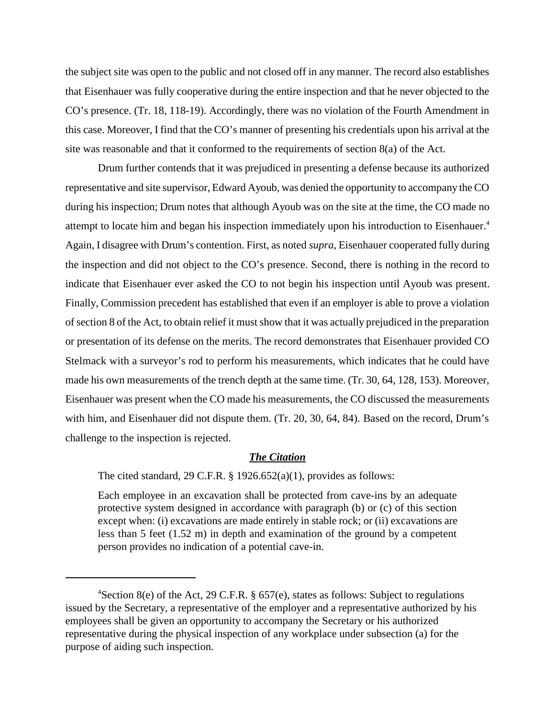the subject site was open to the public and not closed off in any manner. The record also establishes that Eisenhauer was fully cooperative during the entire inspection and that he never objected to the CO's presence. (Tr. 18, 118-19). Accordingly, there was no violation of the Fourth Amendment in this case. Moreover, I find that the CO's manner of presenting his credentials upon his arrival at the site was reasonable and that it conformed to the requirements of section 8(a) of the Act.

Drum further contends that it was prejudiced in presenting a defense because its authorized representative and site supervisor, Edward Ayoub, was denied the opportunity to accompany the CO during his inspection; Drum notes that although Ayoub was on the site at the time, the CO made no attempt to locate him and began his inspection immediately upon his introduction to Eisenhauer.4 Again, I disagree with Drum's contention. First, as noted *supra*, Eisenhauer cooperated fully during the inspection and did not object to the CO's presence. Second, there is nothing in the record to indicate that Eisenhauer ever asked the CO to not begin his inspection until Ayoub was present. Finally, Commission precedent has established that even if an employer is able to prove a violation of section 8 of the Act, to obtain relief it must show that it was actually prejudiced in the preparation or presentation of its defense on the merits. The record demonstrates that Eisenhauer provided CO Stelmack with a surveyor's rod to perform his measurements, which indicates that he could have made his own measurements of the trench depth at the same time. (Tr. 30, 64, 128, 153). Moreover, Eisenhauer was present when the CO made his measurements, the CO discussed the measurements with him, and Eisenhauer did not dispute them. (Tr. 20, 30, 64, 84). Based on the record, Drum's challenge to the inspection is rejected.

#### *The Citation*

The cited standard, 29 C.F.R.  $\S$  1926.652(a)(1), provides as follows:

Each employee in an excavation shall be protected from cave-ins by an adequate protective system designed in accordance with paragraph (b) or (c) of this section except when: (i) excavations are made entirely in stable rock; or (ii) excavations are less than 5 feet (1.52 m) in depth and examination of the ground by a competent person provides no indication of a potential cave-in.

<sup>4</sup> Section 8(e) of the Act, 29 C.F.R. § 657(e), states as follows: Subject to regulations issued by the Secretary, a representative of the employer and a representative authorized by his employees shall be given an opportunity to accompany the Secretary or his authorized representative during the physical inspection of any workplace under subsection (a) for the purpose of aiding such inspection.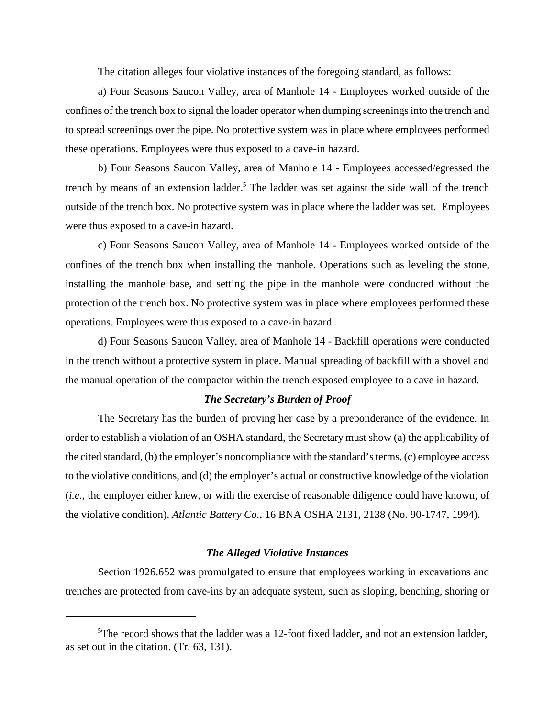The citation alleges four violative instances of the foregoing standard, as follows:

a) Four Seasons Saucon Valley, area of Manhole 14 - Employees worked outside of the confines of the trench box to signal the loader operator when dumping screenings into the trench and to spread screenings over the pipe. No protective system was in place where employees performed these operations. Employees were thus exposed to a cave-in hazard.

b) Four Seasons Saucon Valley, area of Manhole 14 - Employees accessed/egressed the trench by means of an extension ladder.<sup>5</sup> The ladder was set against the side wall of the trench outside of the trench box. No protective system was in place where the ladder was set. Employees were thus exposed to a cave-in hazard.

c) Four Seasons Saucon Valley, area of Manhole 14 - Employees worked outside of the confines of the trench box when installing the manhole. Operations such as leveling the stone, installing the manhole base, and setting the pipe in the manhole were conducted without the protection of the trench box. No protective system was in place where employees performed these operations. Employees were thus exposed to a cave-in hazard.

d) Four Seasons Saucon Valley, area of Manhole 14 - Backfill operations were conducted in the trench without a protective system in place. Manual spreading of backfill with a shovel and the manual operation of the compactor within the trench exposed employee to a cave in hazard.

### *The Secretary's Burden of Proof*

The Secretary has the burden of proving her case by a preponderance of the evidence. In order to establish a violation of an OSHA standard, the Secretary must show (a) the applicability of the cited standard, (b) the employer's noncompliance with the standard's terms, (c) employee access to the violative conditions, and (d) the employer's actual or constructive knowledge of the violation (*i.e.*, the employer either knew, or with the exercise of reasonable diligence could have known, of the violative condition). *Atlantic Battery Co.*, 16 BNA OSHA 2131, 2138 (No. 90-1747, 1994).

## *The Alleged Violative Instances*

Section 1926.652 was promulgated to ensure that employees working in excavations and trenches are protected from cave-ins by an adequate system, such as sloping, benching, shoring or

<sup>&</sup>lt;sup>5</sup>The record shows that the ladder was a 12-foot fixed ladder, and not an extension ladder, as set out in the citation. (Tr. 63, 131).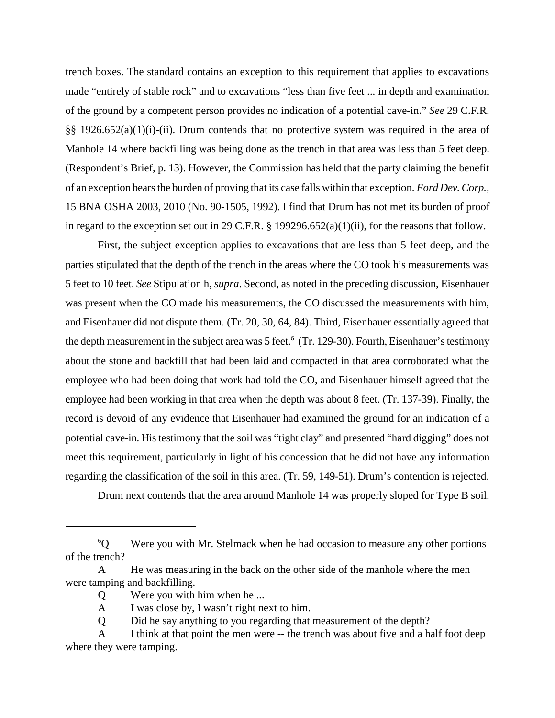trench boxes. The standard contains an exception to this requirement that applies to excavations made "entirely of stable rock" and to excavations "less than five feet ... in depth and examination of the ground by a competent person provides no indication of a potential cave-in." *See* 29 C.F.R. §§ 1926.652(a)(1)(i)-(ii). Drum contends that no protective system was required in the area of Manhole 14 where backfilling was being done as the trench in that area was less than 5 feet deep. (Respondent's Brief, p. 13). However, the Commission has held that the party claiming the benefit of an exception bears the burden of proving that its case falls within that exception. *Ford Dev. Corp.,* 15 BNA OSHA 2003, 2010 (No. 90-1505, 1992). I find that Drum has not met its burden of proof in regard to the exception set out in 29 C.F.R. § 199296.652(a)(1)(ii), for the reasons that follow.

First, the subject exception applies to excavations that are less than 5 feet deep, and the parties stipulated that the depth of the trench in the areas where the CO took his measurements was 5 feet to 10 feet. *See* Stipulation h, *supra*. Second, as noted in the preceding discussion, Eisenhauer was present when the CO made his measurements, the CO discussed the measurements with him, and Eisenhauer did not dispute them. (Tr. 20, 30, 64, 84). Third, Eisenhauer essentially agreed that the depth measurement in the subject area was 5 feet.<sup>6</sup> (Tr. 129-30). Fourth, Eisenhauer's testimony about the stone and backfill that had been laid and compacted in that area corroborated what the employee who had been doing that work had told the CO, and Eisenhauer himself agreed that the employee had been working in that area when the depth was about 8 feet. (Tr. 137-39). Finally, the record is devoid of any evidence that Eisenhauer had examined the ground for an indication of a potential cave-in. His testimony that the soil was "tight clay" and presented "hard digging" does not meet this requirement, particularly in light of his concession that he did not have any information regarding the classification of the soil in this area. (Tr. 59, 149-51). Drum's contention is rejected.

Drum next contends that the area around Manhole 14 was properly sloped for Type B soil.

 $^{6}$ O Were you with Mr. Stelmack when he had occasion to measure any other portions of the trench?

A He was measuring in the back on the other side of the manhole where the men were tamping and backfilling.

Q Were you with him when he ...

A I was close by, I wasn't right next to him.

Q Did he say anything to you regarding that measurement of the depth?

A I think at that point the men were -- the trench was about five and a half foot deep where they were tamping.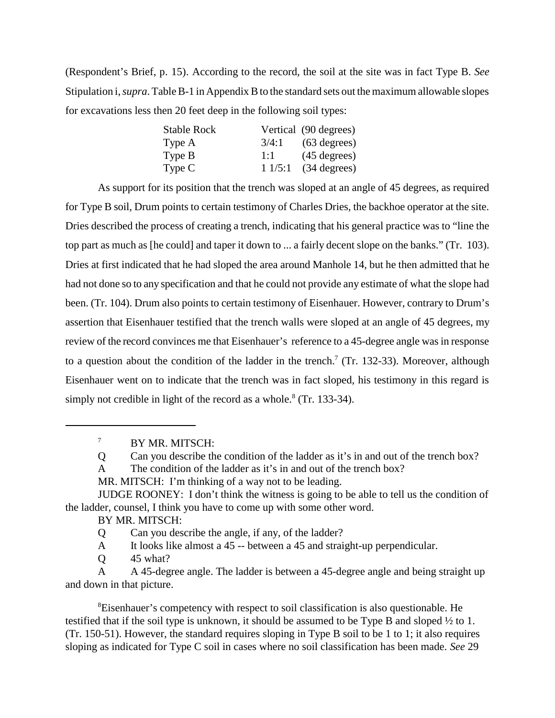(Respondent's Brief, p. 15). According to the record, the soil at the site was in fact Type B. *See* Stipulation i, *supra*. Table B-1 in Appendix B to the standard sets out the maximum allowable slopes for excavations less then 20 feet deep in the following soil types:

| <b>Stable Rock</b> |        | Vertical (90 degrees)  |
|--------------------|--------|------------------------|
| Type A             | 3/4:1  | $(63$ degrees)         |
| Type B             | 1:1    | $(45 \text{ degrees})$ |
| Type C             | 11/5:1 | (34 degrees)           |

As support for its position that the trench was sloped at an angle of 45 degrees, as required for Type B soil, Drum points to certain testimony of Charles Dries, the backhoe operator at the site. Dries described the process of creating a trench, indicating that his general practice was to "line the top part as much as [he could] and taper it down to ... a fairly decent slope on the banks." (Tr. 103). Dries at first indicated that he had sloped the area around Manhole 14, but he then admitted that he had not done so to any specification and that he could not provide any estimate of what the slope had been. (Tr. 104). Drum also points to certain testimony of Eisenhauer. However, contrary to Drum's assertion that Eisenhauer testified that the trench walls were sloped at an angle of 45 degrees, my review of the record convinces me that Eisenhauer's reference to a 45-degree angle was in response to a question about the condition of the ladder in the trench.<sup>7</sup> (Tr. 132-33). Moreover, although Eisenhauer went on to indicate that the trench was in fact sloped, his testimony in this regard is simply not credible in light of the record as a whole. $8$  (Tr. 133-34).

7 BY MR. MITSCH:

Q Can you describe the condition of the ladder as it's in and out of the trench box?

A The condition of the ladder as it's in and out of the trench box?

MR. MITSCH: I'm thinking of a way not to be leading.

JUDGE ROONEY: I don't think the witness is going to be able to tell us the condition of the ladder, counsel, I think you have to come up with some other word.

BY MR. MITSCH:

Q Can you describe the angle, if any, of the ladder?

A It looks like almost a 45 -- between a 45 and straight-up perpendicular.

Q 45 what?

A A 45-degree angle. The ladder is between a 45-degree angle and being straight up and down in that picture.

<sup>8</sup>Eisenhauer's competency with respect to soil classification is also questionable. He testified that if the soil type is unknown, it should be assumed to be Type B and sloped ½ to 1. (Tr. 150-51). However, the standard requires sloping in Type B soil to be 1 to 1; it also requires sloping as indicated for Type C soil in cases where no soil classification has been made. *See* 29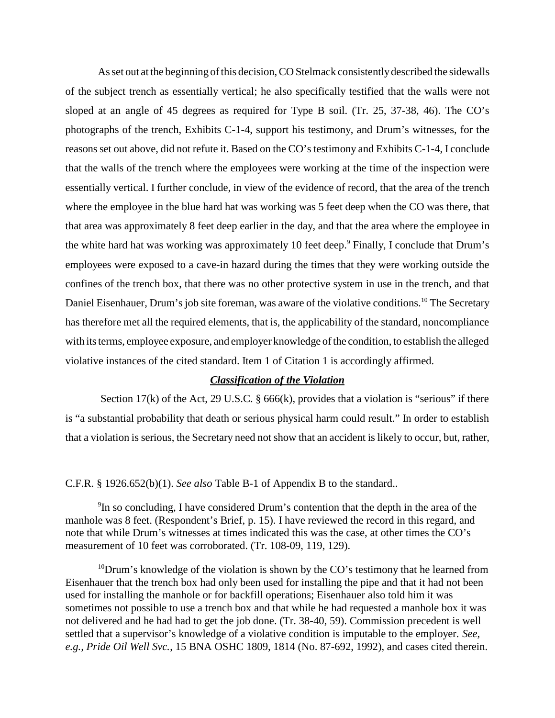As set out at the beginning of this decision, CO Stelmack consistently described the sidewalls of the subject trench as essentially vertical; he also specifically testified that the walls were not sloped at an angle of 45 degrees as required for Type B soil. (Tr. 25, 37-38, 46). The CO's photographs of the trench, Exhibits C-1-4, support his testimony, and Drum's witnesses, for the reasons set out above, did not refute it. Based on the CO's testimony and Exhibits C-1-4, I conclude that the walls of the trench where the employees were working at the time of the inspection were essentially vertical. I further conclude, in view of the evidence of record, that the area of the trench where the employee in the blue hard hat was working was 5 feet deep when the CO was there, that that area was approximately 8 feet deep earlier in the day, and that the area where the employee in the white hard hat was working was approximately 10 feet deep.<sup>9</sup> Finally, I conclude that Drum's employees were exposed to a cave-in hazard during the times that they were working outside the confines of the trench box, that there was no other protective system in use in the trench, and that Daniel Eisenhauer, Drum's job site foreman, was aware of the violative conditions.<sup>10</sup> The Secretary has therefore met all the required elements, that is, the applicability of the standard, noncompliance with its terms, employee exposure, and employer knowledge of the condition, to establish the alleged violative instances of the cited standard. Item 1 of Citation 1 is accordingly affirmed.

## *Classification of the Violation*

Section 17(k) of the Act, 29 U.S.C.  $\S$  666(k), provides that a violation is "serious" if there is "a substantial probability that death or serious physical harm could result." In order to establish that a violation is serious, the Secretary need not show that an accident is likely to occur, but, rather,

C.F.R. § 1926.652(b)(1). *See also* Table B-1 of Appendix B to the standard..

<sup>&</sup>lt;sup>9</sup>In so concluding, I have considered Drum's contention that the depth in the area of the manhole was 8 feet. (Respondent's Brief, p. 15). I have reviewed the record in this regard, and note that while Drum's witnesses at times indicated this was the case, at other times the CO's measurement of 10 feet was corroborated. (Tr. 108-09, 119, 129).

 $10$ Drum's knowledge of the violation is shown by the CO's testimony that he learned from Eisenhauer that the trench box had only been used for installing the pipe and that it had not been used for installing the manhole or for backfill operations; Eisenhauer also told him it was sometimes not possible to use a trench box and that while he had requested a manhole box it was not delivered and he had had to get the job done. (Tr. 38-40, 59). Commission precedent is well settled that a supervisor's knowledge of a violative condition is imputable to the employer. *See, e.g., Pride Oil Well Svc.*, 15 BNA OSHC 1809, 1814 (No. 87-692, 1992), and cases cited therein.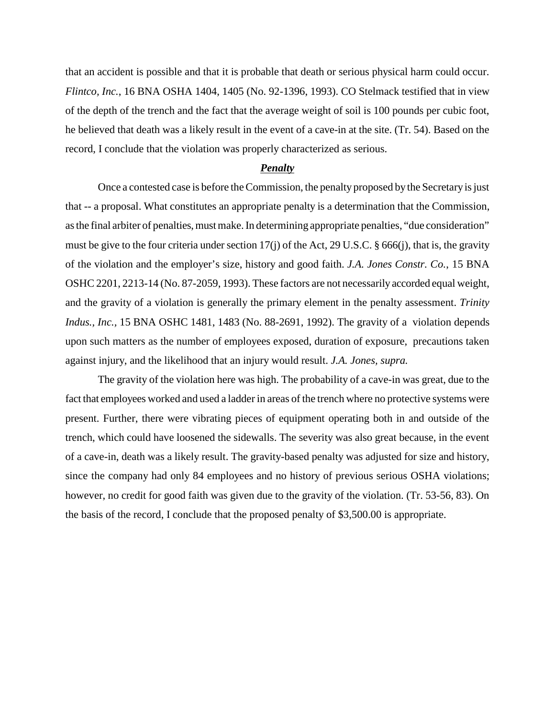that an accident is possible and that it is probable that death or serious physical harm could occur. *Flintco, Inc.*, 16 BNA OSHA 1404, 1405 (No. 92-1396, 1993). CO Stelmack testified that in view of the depth of the trench and the fact that the average weight of soil is 100 pounds per cubic foot, he believed that death was a likely result in the event of a cave-in at the site. (Tr. 54). Based on the record, I conclude that the violation was properly characterized as serious.

### *Penalty*

Once a contested case is before the Commission, the penalty proposed by the Secretary is just that -- a proposal. What constitutes an appropriate penalty is a determination that the Commission, as the final arbiter of penalties, must make. In determining appropriate penalties, "due consideration" must be give to the four criteria under section 17(j) of the Act, 29 U.S.C. § 666(j), that is, the gravity of the violation and the employer's size, history and good faith. *J.A. Jones Constr. Co.*, 15 BNA OSHC 2201, 2213-14 (No. 87-2059, 1993). These factors are not necessarily accorded equal weight, and the gravity of a violation is generally the primary element in the penalty assessment. *Trinity Indus., Inc.,* 15 BNA OSHC 1481, 1483 (No. 88-2691, 1992). The gravity of a violation depends upon such matters as the number of employees exposed, duration of exposure, precautions taken against injury, and the likelihood that an injury would result. *J.A. Jones, supra.*

The gravity of the violation here was high. The probability of a cave-in was great, due to the fact that employees worked and used a ladder in areas of the trench where no protective systems were present. Further, there were vibrating pieces of equipment operating both in and outside of the trench, which could have loosened the sidewalls. The severity was also great because, in the event of a cave-in, death was a likely result. The gravity-based penalty was adjusted for size and history, since the company had only 84 employees and no history of previous serious OSHA violations; however, no credit for good faith was given due to the gravity of the violation. (Tr. 53-56, 83). On the basis of the record, I conclude that the proposed penalty of \$3,500.00 is appropriate.